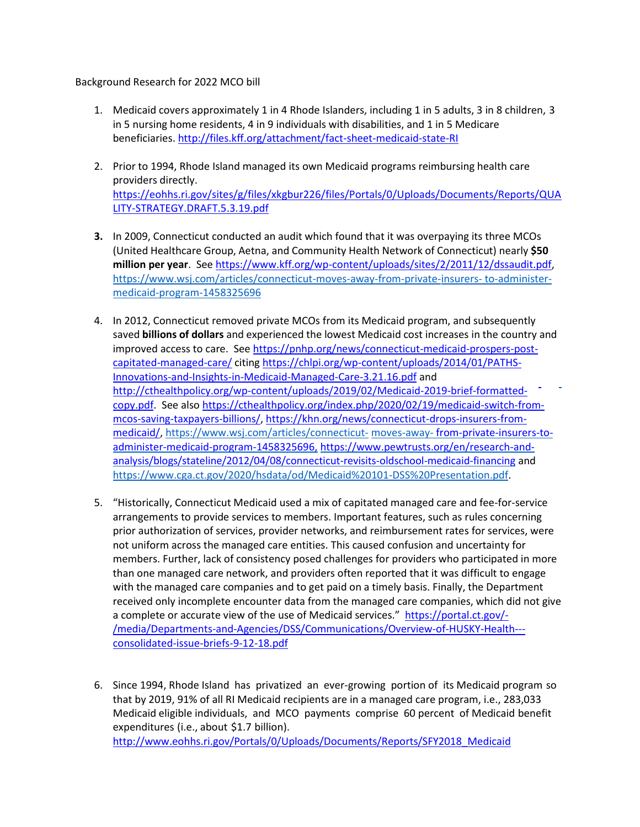## Background Research for 2022 MCO bill

- 1. Medicaid covers approximately 1 in 4 Rhode Islanders, including 1 in 5 adults, 3 in 8 children, 3 in 5 nursing home residents, 4 in 9 individuals with disabilities, and 1 in 5 Medicare beneficiaries. <http://files.kff.org/attachment/fact-sheet-medicaid-state-RI>
- 2. Prior to 1994, Rhode Island managed its own Medicaid programs reimbursing health care providers directly. [https://eohhs.ri.gov/sites/g/files/xkgbur226/files/Portals/0/Uploads/Documents/Reports/QUA](https://eohhs.ri.gov/sites/g/files/xkgbur226/files/Portals/0/Uploads/Documents/Reports/QUALITY-STRATEGY.DRAFT.5.3.19.pdf) [LITY-STRATEGY.DRAFT.5.3.19.pdf](https://eohhs.ri.gov/sites/g/files/xkgbur226/files/Portals/0/Uploads/Documents/Reports/QUALITY-STRATEGY.DRAFT.5.3.19.pdf)
- **3.** In 2009, Connecticut conducted an audit which found that it was overpaying its three MCOs (United Healthcare Group, Aetna, and Community Health Network of Connecticut) nearly **\$50 million per year**. See [https://www.kff.org/wp-content/uploads/sites/2/2011/12/dssaudit.pdf,](https://www.kff.org/wp-content/uploads/sites/2/2011/12/dssaudit.pdf) [https://www.wsj.com/articles/connecticut-moves-away-from-private-insurers-](https://www.wsj.com/articles/connecticut-moves-away-from-private-insurers-to-administer-medicaid-program-1458325696) [to-administer](https://www.wsj.com/articles/connecticut-moves-away-from-private-insurers-to-administer-medicaid-program-1458325696)[medicaid-program-1458325696](https://www.wsj.com/articles/connecticut-moves-away-from-private-insurers-to-administer-medicaid-program-1458325696)
- 4. In 2012, Connecticut removed private MCOs from its Medicaid program, and subsequently saved **billions of dollars** and experienced the lowest Medicaid cost increases in the country and improved access to care. See [https://pnhp.org/news/connecticut-medicaid-prospers-post](https://pnhp.org/news/connecticut-medicaid-prospers-post-capitated-managed-care/)[capitated-managed-care/](https://pnhp.org/news/connecticut-medicaid-prospers-post-capitated-managed-care/) citing [https://chlpi.org/wp-content/uploads/2014/01/PATHS-](https://chlpi.org/wp-content/uploads/2014/01/PATHS-Innovations-and-Insights-in-Medicaid-Managed-Care-3.21.16.pdf)[Innovations-and-Insights-in-Medicaid-Managed-Care-3.21.16.pdf](https://chlpi.org/wp-content/uploads/2014/01/PATHS-Innovations-and-Insights-in-Medicaid-Managed-Care-3.21.16.pdf) and [http://cthealthpolicy.org/wp-content/uploads/2019/02/Medicaid-2019-brief-formatted](http://cthealthpolicy.org/wp-content/uploads/2019/02/Medicaid-2019-brief-formatted-copy.pdf)[copy.pdf.](http://cthealthpolicy.org/wp-content/uploads/2019/02/Medicaid-2019-brief-formatted-copy.pdf) See als[o https://cthealthpolicy.org/index.php/2020/02/19/medicaid-switch-from](https://cthealthpolicy.org/index.php/2020/02/19/medicaid-switch-from-mcos-saving-taxpayers-billions/)[mcos-saving-taxpayers-billions/,](https://cthealthpolicy.org/index.php/2020/02/19/medicaid-switch-from-mcos-saving-taxpayers-billions/) [https://khn.org/news/connecticut-drops-insurers-from](https://khn.org/news/connecticut-drops-insurers-from-medicaid/)[medicaid/,](https://khn.org/news/connecticut-drops-insurers-from-medicaid/) [https://www.wsj.com/articles/connecticut-](https://www.wsj.com/articles/connecticut-moves-away-from-private-insurers-to-administer-medicaid-program-1458325696) [moves-away-](https://www.wsj.com/articles/connecticut-moves-away-from-private-insurers-to-administer-medicaid-program-1458325696) from-private-insurers-toadminister-medicaid-program-1458325696, https:/[/www.pewtrusts.org/en/research-and](http://www.pewtrusts.org/en/research-and-)analysis/blogs/stateline/2012/04/08/connecticut-revisits-oldschool-medicaid-financing and [https://www.cga.ct.gov/2020/hsdata/od/Medicaid%20101-DSS%20Presentation.pdf.](https://www.cga.ct.gov/2020/hsdata/od/Medicaid%20101-DSS%20Presentation.pdf)
- 5. "Historically, Connecticut Medicaid used a mix of capitated managed care and fee-for-service arrangements to provide services to members. Important features, such as rules concerning prior authorization of services, provider networks, and reimbursement rates for services, were not uniform across the managed care entities. This caused confusion and uncertainty for members. Further, lack of consistency posed challenges for providers who participated in more than one managed care network, and providers often reported that it was difficult to engage with the managed care companies and to get paid on a timely basis. Finally, the Department received only incomplete encounter data from the managed care companies, which did not give a complete or accurate view of the use of Medicaid services." [https://portal.ct.gov/-](https://portal.ct.gov/-/media/Departments-and-Agencies/DSS/Communications/Overview-of-HUSKY-Health---consolidated-issue-briefs-9-12-18.pdf) [/media/Departments-and-Agencies/DSS/Communications/Overview-of-HUSKY-Health--](https://portal.ct.gov/-/media/Departments-and-Agencies/DSS/Communications/Overview-of-HUSKY-Health---consolidated-issue-briefs-9-12-18.pdf) [consolidated-issue-briefs-9-12-18.pdf](https://portal.ct.gov/-/media/Departments-and-Agencies/DSS/Communications/Overview-of-HUSKY-Health---consolidated-issue-briefs-9-12-18.pdf)
- 6. Since 1994, Rhode Island has privatized an ever-growing portion of its Medicaid program so that by 2019, 91% of all RI Medicaid recipients are in a managed care program, i.e., 283,033 Medicaid eligible individuals, and MCO payments comprise 60 percent of Medicaid benefit expenditures (i.e., about \$1.7 billion). [http://www.eohhs.ri.gov/Portals/0/Uploads/Documents/Reports/SFY2018\\_Medicaid](http://www.eohhs.ri.gov/Portals/0/Uploads/Documents/Reports/SFY2018_Medicaid)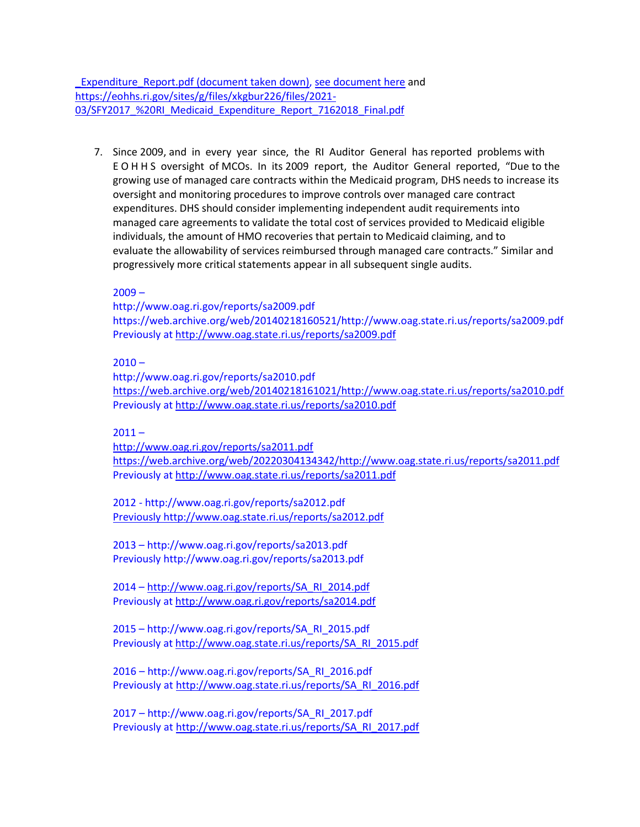[\\_Expenditure\\_Report.pdf](http://www.eohhs.ri.gov/Portals/0/Uploads/Documents/Reports/SFY2018_Medicaid_Expenditure_Report.pdf) [\(document](https://3e93ac45-5711-428b-a0e2-e1754d9001b9.filesusr.com/ugd/f4ce4b_7fe8b9875e314c3c87d7991a1c74e0a7.pdf) taken down), see document here and https://eohhs.ri.gov/sites/g/files/xkgbur226/files/2021- 03/SFY2017 %20RI Medicaid Expenditure Report 7162018 Final.pdf

7. Since 2009, and in every year since, the RI Auditor General has reported problems with E O H H S oversight of MCOs. In its 2009 report, the Auditor General reported, "Due to the growing use of managed care contracts within the Medicaid program, DHS needs to increase its oversight and monitoring procedures to improve controls over managed care contract expenditures. DHS should consider implementing independent audit requirements into managed care agreements to validate the total cost of services provided to Medicaid eligible individuals, the amount of HMO recoveries that pertain to Medicaid claiming, and to evaluate the allowability of services reimbursed through managed care contracts." Similar and progressively more critical statements appear in all subsequent single audits.

 $2009 -$ 

http://www.oag.ri.gov/reports/sa2009.pdf https://web.archive.org/web/20140218160521/http://www.oag.state.ri.us/reports/sa2009.pdf Previously at<http://www.oag.state.ri.us/reports/sa2009.pdf>

 $2010 -$ 

http://www.oag.ri.gov/reports/sa2010.pdf [https://web.archive.org/web/20140218161021/http://www.oag.state.ri.us/reports/sa2010.pdf](https://web.archive.org/web/20140218161021/http:/www.oag.state.ri.us/reports/sa2010.pdf) Previously at<http://www.oag.state.ri.us/reports/sa2010.pdf>

 $2011 -$ 

<http://www.oag.ri.gov/reports/sa2011.pdf> [https://web.archive.org/web/20220304134342/http://www.oag.state.ri.us/reports/sa2011.pdf](https://web.archive.org/web/20220304134342/http:/www.oag.state.ri.us/reports/sa2011.pdf) Previously at<http://www.oag.state.ri.us/reports/sa2011.pdf>

2012 - http://www.oag.ri.gov/reports/sa2012.pdf [Previously http://www.oag.state.ri.us/reports/sa2012.pdf](file:///C:/Users/Linda/Desktop/File%20from%20old%20computer/RI-Single-Payer-Legislation/2021%20State%20Legislaion/MCO%20Audit/Previously%20http:/www.oag.state.ri.us/reports/sa2012.pdf)

2013 – http://www.oag.ri.gov/reports/sa2013.pdf Previously http://www.oag.ri.gov/reports/sa2013.pdf

2014 – [http://www.oag.ri.gov/reports/SA\\_RI\\_2014.pdf](http://www.oag.ri.gov/reports/SA_RI_2014.pdf) Previously at<http://www.oag.ri.gov/reports/sa2014.pdf>

2015 – http://www.oag.ri.gov/reports/SA\_RI\_2015.pdf Previously at [http://www.oag.state.ri.us/reports/SA\\_RI\\_2015.pdf](http://www.oag.state.ri.us/reports/SA_RI_2015.pdf)

2016 – http://www.oag.ri.gov/reports/SA\_RI\_2016.pdf Previously at [http://www.oag.state.ri.us/reports/SA\\_RI\\_2016.pdf](http://www.oag.state.ri.us/reports/SA_RI_2016.pdf)

2017 – http://www.oag.ri.gov/reports/SA\_RI\_2017.pdf Previously at [http://www.oag.state.ri.us/reports/SA\\_RI\\_2017.pdf](http://www.oag.state.ri.us/reports/SA_RI_2017.pdf)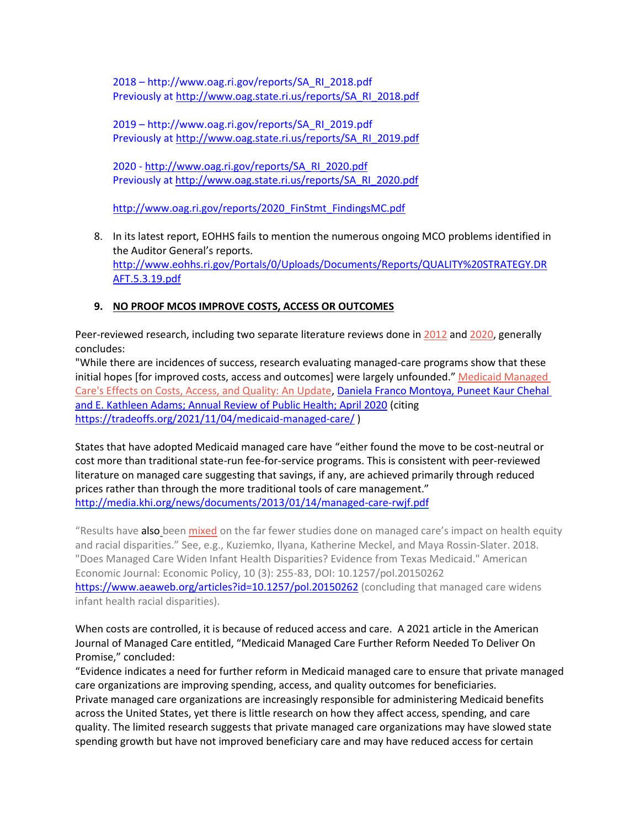2018 – http://www.oag.ri.gov/reports/SA\_RI\_2018.pdf Previously at [http://www.oag.state.ri.us/reports/SA\\_RI\\_2018.pdf](http://www.oag.state.ri.us/reports/SA_RI_2018.pdf)

2019 – http://www.oag.ri.gov/reports/SA\_RI\_2019.pdf Previously at [http://www.oag.state.ri.us/reports/SA\\_RI\\_2019.pdf](http://www.oag.state.ri.us/reports/SA_RI_2019.pdf)

2020 - [http://www.oag.ri.gov/reports/SA\\_RI\\_2020.pdf](http://www.oag.ri.gov/reports/SA_RI_2020.pdf) Previously at [http://www.oag.state.ri.us/reports/SA\\_RI\\_2020.pdf](http://www.oag.state.ri.us/reports/SA_RI_2020.pdf)

[http://www.oag.ri.gov/reports/2020\\_FinStmt\\_FindingsMC.pdf](http://www.oag.ri.gov/reports/2020_FinStmt_FindingsMC.pdf)

8. In its latest report, EOHHS fails to mention the numerous ongoing MCO problems identified in the Auditor General's reports. [http://www.eohhs.ri.gov/Portals/0/Uploads/Documents/Reports/QUALITY%20STRATEGY.DR](http://www.eohhs.ri.gov/Portals/0/Uploads/Documents/Reports/QUALITY%20STRATEGY.DRAFT.5.3.19.pdf) [AFT.5.3.19.pdf](http://www.eohhs.ri.gov/Portals/0/Uploads/Documents/Reports/QUALITY%20STRATEGY.DRAFT.5.3.19.pdf)

## **9. NO PROOF MCOS IMPROVE COSTS, ACCESS OR OUTCOMES**

Peer-reviewed research, including two separate literature reviews done in [2012](https://www.rwjf.org/en/library/research/2012/09/medicaid-managed-care.html) and [2020,](https://www.annualreviews.org/doi/10.1146/annurev-publhealth-040119-094345) generally concludes:

"While there are incidences of success, research evaluating managed-care programs show that these initial hopes [for improved costs, access and outcomes] were largely unfounded." [Medicaid Managed](https://www.annualreviews.org/doi/10.1146/annurev-publhealth-040119-094345)  [Care's Effects on Costs, Access, and Quality: An Update, Daniela Franco Montoya, Puneet Kaur Chehal](https://www.annualreviews.org/doi/10.1146/annurev-publhealth-040119-094345)  [and E. Kathleen Adams; Annual Review of Public Health; April 2020](https://www.annualreviews.org/doi/10.1146/annurev-publhealth-040119-094345) (citing <https://tradeoffs.org/2021/11/04/medicaid-managed-care/> )

States that have adopted Medicaid managed care have "either found the move to be cost-neutral or cost more than traditional state-run fee-for-service programs. This is consistent with peer-reviewed literature on managed care suggesting that savings, if any, are achieved primarily through reduced prices rather than through the more traditional tools of care management." <http://media.khi.org/news/documents/2013/01/14/managed-care-rwjf.pdf>

"Results have also been [mixed](https://pubmed.ncbi.nlm.nih.gov/17355585/) on the far fewer studies done on managed care's impact on health equity and racial disparities." See, e.g., Kuziemko, Ilyana, Katherine Meckel, and Maya Rossin-Slater. 2018. "Does Managed Care Widen Infant Health Disparities? Evidence from Texas Medicaid." American Economic Journal: Economic Policy, 10 (3): 255-83, DOI: 10.1257/pol.20150262 <https://www.aeaweb.org/articles?id=10.1257/pol.20150262> (concluding that managed care widens infant health racial disparities).

When costs are controlled, it is because of reduced access and care. A 2021 article in the American Journal of Managed Care entitled, "Medicaid Managed Care Further Reform Needed To Deliver On Promise," concluded:

"Evidence indicates a need for further reform in Medicaid managed care to ensure that private managed care organizations are improving spending, access, and quality outcomes for beneficiaries. Private managed care organizations are increasingly responsible for administering Medicaid benefits across the United States, yet there is little research on how they affect access, spending, and care quality. The limited research suggests that private managed care organizations may have slowed state spending growth but have not improved beneficiary care and may have reduced access for certain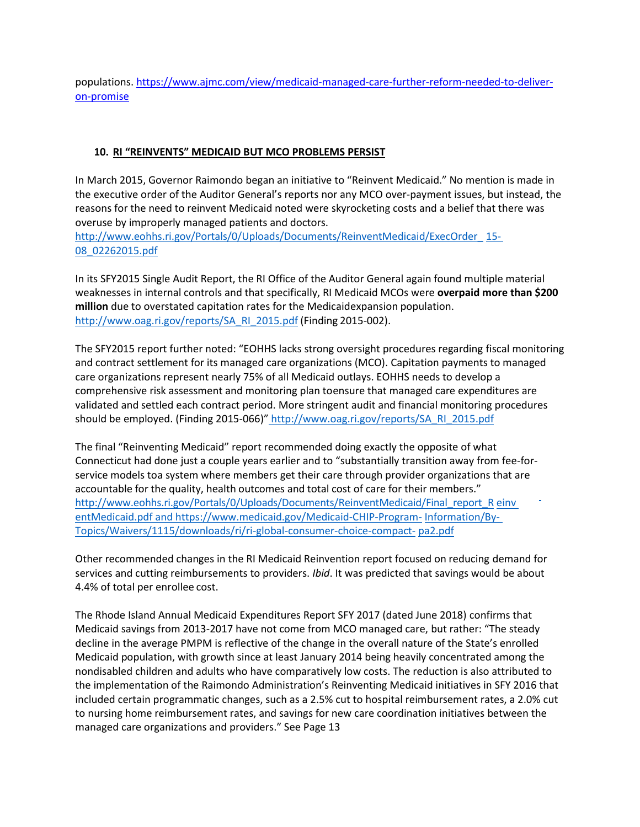populations. [https://www.ajmc.com/view/medicaid-managed-care-further-reform-needed-to-deliver](https://www.ajmc.com/view/medicaid-managed-care-further-reform-needed-to-deliver-on-promise)[on-promise](https://www.ajmc.com/view/medicaid-managed-care-further-reform-needed-to-deliver-on-promise)

## **10. RI "REINVENTS" MEDICAID BUT MCO PROBLEMS PERSIST**

In March 2015, Governor Raimondo began an initiative to "Reinvent Medicaid." No mention is made in the executive order of the Auditor General's reports nor any MCO over-payment issues, but instead, the reasons for the need to reinvent Medicaid noted were skyrocketing costs and a belief that there was overuse by improperly managed patients and doctors.

[http://www.eohhs.ri.gov/Portals/0/Uploads/Documents/ReinventMedicaid/ExecOrder\\_](http://www.eohhs.ri.gov/Portals/0/Uploads/Documents/ReinventMedicaid/ExecOrder_15-) [15-](http://www.eohhs.ri.gov/Portals/0/Uploads/Documents/ReinventMedicaid/ExecOrder_15-) 08\_02262015.pdf

In its SFY2015 Single Audit Report, the RI Office of the Auditor General again found multiple material weaknesses in internal controls and that specifically, RI Medicaid MCOs were **overpaid more than \$200 million** due to overstated capitation rates for the Medicaidexpansion population. [http://www.oag.ri.gov/reports/SA\\_RI\\_2015.pdf](http://www.oag.ri.gov/reports/SA_RI_2015.pdf) (Finding 2015-002).

The SFY2015 report further noted: "EOHHS lacks strong oversight procedures regarding fiscal monitoring and contract settlement for its managed care organizations (MCO). Capitation payments to managed care organizations represent nearly 75% of all Medicaid outlays. EOHHS needs to develop a comprehensive risk assessment and monitoring plan toensure that managed care expenditures are validated and settled each contract period. More stringent audit and financial monitoring procedures should be employed. (Finding 2015-066)" [http://www.oag.ri.gov/reports/SA\\_RI\\_2015.pdf](http://www.oag.ri.gov/reports/SA_RI_2015.pdf)

The final "Reinventing Medicaid" report recommended doing exactly the opposite of what Connecticut had done just a couple years earlier and to "substantially transition away from fee-forservice models toa system where members get their care through provider organizations that are accountable for the quality, health outcomes and total cost of care for their members." [http://www.eohhs.ri.gov/Portals/0/Uploads/Documents/ReinventMedicaid/Final\\_report\\_R](http://www.eohhs.ri.gov/Portals/0/Uploads/Documents/ReinventMedicaid/Final_report_Reinv) einv entMedicaid.pdf and https:/[/www.medicaid.gov/Medicaid-CHIP-Program-](http://www.medicaid.gov/Medicaid-CHIP-Program-Information/By-) [Information/By-](http://www.medicaid.gov/Medicaid-CHIP-Program-Information/By-)Topics/Waivers/1115/downloads/ri/ri-global-consumer-choice-compact- pa2.pdf

Other recommended changes in the RI Medicaid Reinvention report focused on reducing demand for services and cutting reimbursements to providers. *Ibid*. It was predicted that savings would be about 4.4% of total per enrollee cost.

The Rhode Island Annual Medicaid Expenditures Report SFY 2017 (dated June 2018) confirms that Medicaid savings from 2013-2017 have not come from MCO managed care, but rather: "The steady decline in the average PMPM is reflective of the change in the overall nature of the State's enrolled Medicaid population, with growth since at least January 2014 being heavily concentrated among the nondisabled children and adults who have comparatively low costs. The reduction is also attributed to the implementation of the Raimondo Administration's Reinventing Medicaid initiatives in SFY 2016 that included certain programmatic changes, such as a 2.5% cut to hospital reimbursement rates, a 2.0% cut to nursing home reimbursement rates, and savings for new care coordination initiatives between the managed care organizations and providers." See Page 13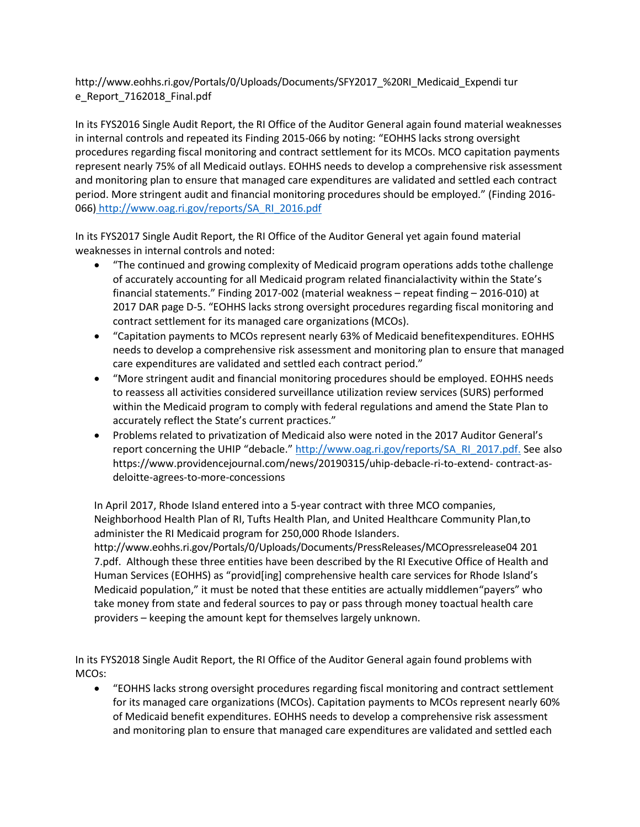[http://www.eohhs.ri.gov/Portals/0/Uploads/Documents/SFY2017\\_%20RI\\_Medicaid\\_Expendi](http://www.eohhs.ri.gov/Portals/0/Uploads/Documents/SFY2017_%20RI_Medicaid_Expenditur) [tur](http://www.eohhs.ri.gov/Portals/0/Uploads/Documents/SFY2017_%20RI_Medicaid_Expenditur) e\_Report\_7162018\_Final.pdf

In its FYS2016 Single Audit Report, the RI Office of the Auditor General again found material weaknesses in internal controls and repeated its Finding 2015-066 by noting: "EOHHS lacks strong oversight procedures regarding fiscal monitoring and contract settlement for its MCOs. MCO capitation payments represent nearly 75% of all Medicaid outlays. EOHHS needs to develop a comprehensive risk assessment and monitoring plan to ensure that managed care expenditures are validated and settled each contract period. More stringent audit and financial monitoring procedures should be employed." (Finding 2016- 066) [http://www.oag.ri.gov/reports/SA\\_RI\\_2016.pdf](http://www.oag.ri.gov/reports/SA_RI_2016.pdf)

In its FYS2017 Single Audit Report, the RI Office of the Auditor General yet again found material weaknesses in internal controls and noted:

- "The continued and growing complexity of Medicaid program operations adds tothe challenge of accurately accounting for all Medicaid program related financialactivity within the State's financial statements." Finding 2017-002 (material weakness – repeat finding – 2016-010) at 2017 DAR page D-5. "EOHHS lacks strong oversight procedures regarding fiscal monitoring and contract settlement for its managed care organizations (MCOs).
- "Capitation payments to MCOs represent nearly 63% of Medicaid benefitexpenditures. EOHHS needs to develop a comprehensive risk assessment and monitoring plan to ensure that managed care expenditures are validated and settled each contract period."
- "More stringent audit and financial monitoring procedures should be employed. EOHHS needs to reassess all activities considered surveillance utilization review services (SURS) performed within the Medicaid program to comply with federal regulations and amend the State Plan to accurately reflect the State's current practices."
- Problems related to privatization of Medicaid also were noted in the 2017 Auditor General's report concerning the UHIP "debacle." [http://www.oag.ri.gov/reports/SA\\_RI\\_2017.pdf.](http://www.oag.ri.gov/reports/SA_RI_2017.pdf) See also https:/[/www.providencejournal.com/news/20190315/uhip-debacle-ri-to-extend-](http://www.providencejournal.com/news/20190315/uhip-debacle-ri-to-extend-) contract-asdeloitte-agrees-to-more-concessions

In April 2017, Rhode Island entered into a 5-year contract with three MCO companies, Neighborhood Health Plan of RI, Tufts Health Plan, and United Healthcare Community Plan,to administer the RI Medicaid program for 250,000 Rhode Islander[s.](http://www.eohhs.ri.gov/Portals/0/Uploads/Documents/PressReleases/MCOpressrelease04201)

[http://www.eohhs.ri.gov/Portals/0/Uploads/Documents/PressReleases/MCOpressrelease04](http://www.eohhs.ri.gov/Portals/0/Uploads/Documents/PressReleases/MCOpressrelease04201) [201](http://www.eohhs.ri.gov/Portals/0/Uploads/Documents/PressReleases/MCOpressrelease04201) 7.pdf. Although these three entities have been described by the RI Executive Office of Health and Human Services (EOHHS) as "provid[ing] comprehensive health care services for Rhode Island's Medicaid population," it must be noted that these entities are actually middlemen"payers" who take money from state and federal sources to pay or pass through money toactual health care providers – keeping the amount kept for themselves largely unknown.

In its FYS2018 Single Audit Report, the RI Office of the Auditor General again found problems with MCOs:

 "EOHHS lacks strong oversight procedures regarding fiscal monitoring and contract settlement for its managed care organizations (MCOs). Capitation payments to MCOs represent nearly 60% of Medicaid benefit expenditures. EOHHS needs to develop a comprehensive risk assessment and monitoring plan to ensure that managed care expenditures are validated and settled each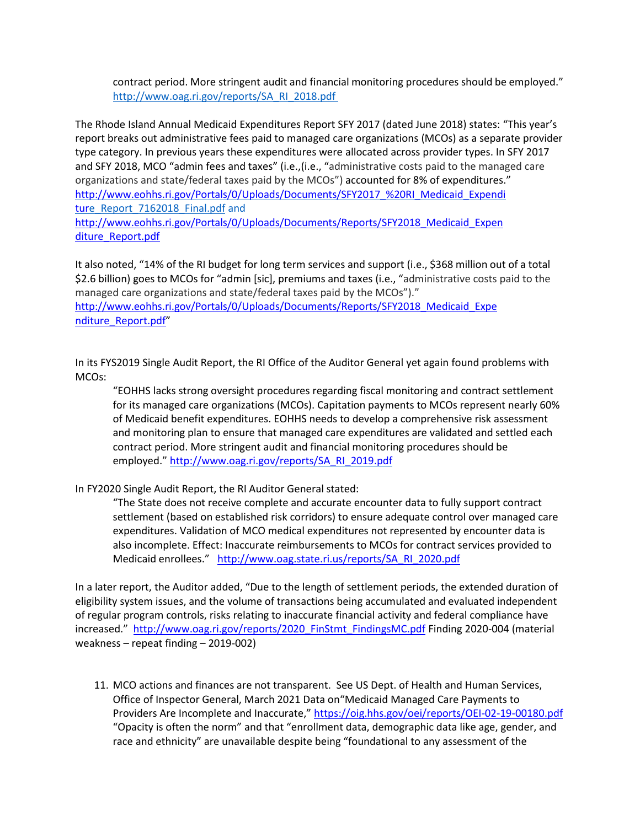contract period. More stringent audit and financial monitoring procedures should be employed." [http://www.oag.ri.gov/reports/SA\\_RI\\_2018.pdf](http://www.oag.ri.gov/reports/SA_RI_2018.pdf) 

The Rhode Island Annual Medicaid Expenditures Report SFY 2017 (dated June 2018) states: "This year's report breaks out administrative fees paid to managed care organizations (MCOs) as a separate provider type category. In previous years these expenditures were allocated across provider types. In SFY 2017 and SFY 2018, MCO "admin fees and taxes" (i.e.,(i.e., "administrative costs paid to the managed care organizations and state/federal taxes paid by the MCOs") accounted for 8% of expenditures." [http://www.eohhs.ri.gov/Portals/0/Uploads/Documents/SFY2017\\_%20RI\\_Medicaid\\_Expendi](http://www.eohhs.ri.gov/Portals/0/Uploads/Documents/SFY2017_%20RI_Medicaid_Expenditur) [tur](http://www.eohhs.ri.gov/Portals/0/Uploads/Documents/SFY2017_%20RI_Medicaid_Expenditur)[e\\_Report\\_7162018\\_Final.pdf](http://www.eohhs.ri.gov/Portals/0/Uploads/Documents/SFY2017_%20RI_Medicaid_Expenditure_Report_7162018_Final.pdf) and

[http://www.eohhs.ri.gov/Portals/0/Uploads/Documents/Reports/SFY2018\\_Medicaid\\_Expen](http://www.eohhs.ri.gov/Portals/0/Uploads/Documents/Reports/SFY2018_Medicaid_Expenditure_Report.pdf) [diture\\_Report.pdf](http://www.eohhs.ri.gov/Portals/0/Uploads/Documents/Reports/SFY2018_Medicaid_Expenditure_Report.pdf)

It also noted, "14% of the RI budget for long term services and support (i.e., \$368 million out of a total \$2.6 billion) goes to MCOs for "admin [sic], premiums and taxes (i.e., "administrative costs paid to the managed care organizations and state/federal taxes paid by the MCOs")." [http://www.eohhs.ri.gov/Portals/0/Uploads/Documents/Reports/SFY2018\\_Medicaid\\_Expe](http://www.eohhs.ri.gov/Portals/0/Uploads/Documents/Reports/SFY2018_Medicaid_Expenditure_Report.pdf) [nditure\\_Report.pdf](http://www.eohhs.ri.gov/Portals/0/Uploads/Documents/Reports/SFY2018_Medicaid_Expenditure_Report.pdf)"

In its FYS2019 Single Audit Report, the RI Office of the Auditor General yet again found problems with MCOs:

"EOHHS lacks strong oversight procedures regarding fiscal monitoring and contract settlement for its managed care organizations (MCOs). Capitation payments to MCOs represent nearly 60% of Medicaid benefit expenditures. EOHHS needs to develop a comprehensive risk assessment and monitoring plan to ensure that managed care expenditures are validated and settled each contract period. More stringent audit and financial monitoring procedures should be employed." [http://www.oag.ri.gov/reports/SA\\_RI\\_2019.pdf](http://www.oag.ri.gov/reports/SA_RI_2019.pdf)

In FY2020 Single Audit Report, the RI Auditor General stated:

"The State does not receive complete and accurate encounter data to fully support contract settlement (based on established risk corridors) to ensure adequate control over managed care expenditures. Validation of MCO medical expenditures not represented by encounter data is also incomplete. Effect: Inaccurate reimbursements to MCOs for contract services provided to Medicaid enrollees." [http://www.oag.state.ri.us/reports/SA\\_RI\\_2020.pdf](http://www.oag.state.ri.us/reports/SA_RI_2020.pdf)

In a later report, the Auditor added, "Due to the length of settlement periods, the extended duration of eligibility system issues, and the volume of transactions being accumulated and evaluated independent of regular program controls, risks relating to inaccurate financial activity and federal compliance have increased." http://www.oag.ri.gov/reports/2020 FinStmt FindingsMC.pdf Finding 2020-004 (material weakness – repeat finding – 2019-002)

11. MCO actions and finances are not transparent. See US Dept. of Health and Human Services, Office of Inspector General, March 2021 Data on"Medicaid Managed Care Payments to Providers Are Incomplete and Inaccurate," <https://oig.hhs.gov/oei/reports/OEI-02-19-00180.pdf> "Opacity is often the norm" and that "enrollment data, demographic data like age, gender, and race and ethnicity" are unavailable despite being "foundational to any assessment of the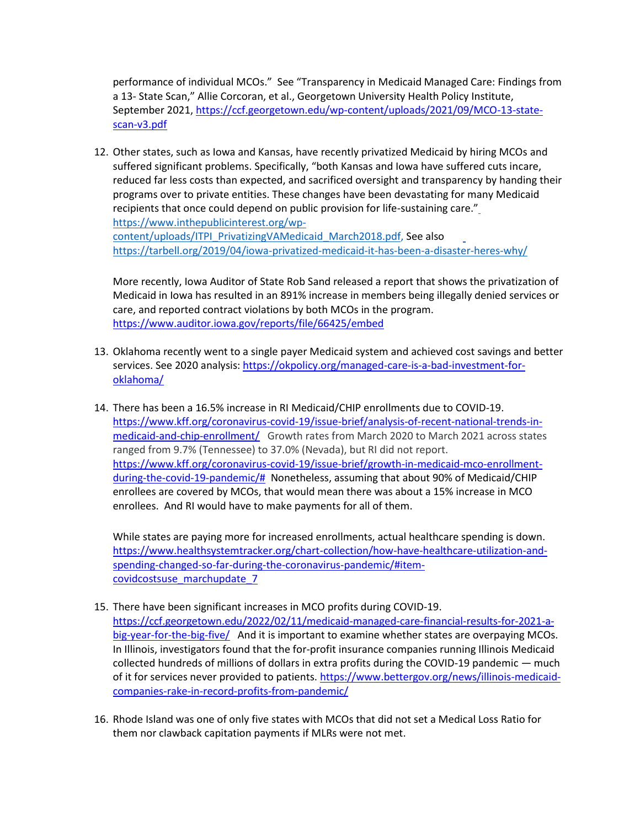performance of individual MCOs." See "Transparency in Medicaid Managed Care: Findings from a 13- State Scan," Allie Corcoran, et al., Georgetown University Health Policy Institute, September 2021[, https://ccf.georgetown.edu/wp-content/uploads/2021/09/MCO-13-state](https://ccf.georgetown.edu/wp-content/uploads/2021/09/MCO-13-state-scan-v3.pdf)[scan-v3.pdf](https://ccf.georgetown.edu/wp-content/uploads/2021/09/MCO-13-state-scan-v3.pdf)

12. Other states, such as Iowa and Kansas, have recently privatized Medicaid by hiring MCOs and suffered significant problems. Specifically, "both Kansas and Iowa have suffered cuts incare, reduced far less costs than expected, and sacrificed oversight and transparency by handing their programs over to private entities. These changes have been devastating for many Medicaid recipients that once could depend on public provision for life-sustaining care.["](https://www.inthepublicinterest.org/wp-content/uploads/ITPI_PrivatizingVAMedicaid_March2018.pdf) [https://www.inthepublicinterest.org/wp](https://www.inthepublicinterest.org/wp-content/uploads/ITPI_PrivatizingVAMedicaid_March2018.pdf)[content/uploads/ITPI\\_PrivatizingVAMedicaid\\_March2018.pdf, S](https://www.inthepublicinterest.org/wp-content/uploads/ITPI_PrivatizingVAMedicaid_March2018.pdf)ee also <https://tarbell.org/2019/04/iowa-privatized-medicaid-it-has-been-a-disaster-heres-why/>

More recently, Iowa Auditor of State Rob Sand released a report that shows the privatization of Medicaid in Iowa has resulted in an 891% increase in members being illegally denied services or care, and reported contract violations by both MCOs in the program. <https://www.auditor.iowa.gov/reports/file/66425/embed>

- 13. Oklahoma recently went to a single payer Medicaid system and achieved cost savings and better services. See 2020 analysis: [https://okpolicy.org/managed-care-is-a-bad-investment-for](https://okpolicy.org/managed-care-is-a-bad-investment-for-oklahoma/)[oklahoma/](https://okpolicy.org/managed-care-is-a-bad-investment-for-oklahoma/)
- 14. There has been a 16.5% increase in RI Medicaid/CHIP enrollments due to COVID-19. [https://www.kff.org/coronavirus-covid-19/issue-brief/analysis-of-recent-national-trends-in](https://www.kff.org/coronavirus-covid-19/issue-brief/analysis-of-recent-national-trends-in-medicaid-and-chip-enrollment/)[medicaid-and-chip-enrollment/](https://www.kff.org/coronavirus-covid-19/issue-brief/analysis-of-recent-national-trends-in-medicaid-and-chip-enrollment/) Growth rates from March 2020 to March 2021 across states ranged from 9.7% (Tennessee) to 37.0% (Nevada), but RI did not report. [https://www.kff.org/coronavirus-covid-19/issue-brief/growth-in-medicaid-mco-enrollment](https://www.kff.org/coronavirus-covid-19/issue-brief/growth-in-medicaid-mco-enrollment-during-the-covid-19-pandemic/)[during-the-covid-19-pandemic/#](https://www.kff.org/coronavirus-covid-19/issue-brief/growth-in-medicaid-mco-enrollment-during-the-covid-19-pandemic/) Nonetheless, assuming that about 90% of Medicaid/CHIP enrollees are covered by MCOs, that would mean there was about a 15% increase in MCO enrollees. And RI would have to make payments for all of them.

While states are paying more for increased enrollments, actual healthcare spending is down. [https://www.healthsystemtracker.org/chart-collection/how-have-healthcare-utilization-and](https://www.healthsystemtracker.org/chart-collection/how-have-healthcare-utilization-and-spending-changed-so-far-during-the-coronavirus-pandemic/#item-covidcostsuse_marchupdate_7)[spending-changed-so-far-during-the-coronavirus-pandemic/#item](https://www.healthsystemtracker.org/chart-collection/how-have-healthcare-utilization-and-spending-changed-so-far-during-the-coronavirus-pandemic/#item-covidcostsuse_marchupdate_7)[covidcostsuse\\_marchupdate\\_7](https://www.healthsystemtracker.org/chart-collection/how-have-healthcare-utilization-and-spending-changed-so-far-during-the-coronavirus-pandemic/#item-covidcostsuse_marchupdate_7)

- 15. There have been significant increases in MCO profits during COVID-19. [https://ccf.georgetown.edu/2022/02/11/medicaid-managed-care-financial-results-for-2021-a](https://ccf.georgetown.edu/2022/02/11/medicaid-managed-care-financial-results-for-2021-a-big-year-for-the-big-five/)[big-year-for-the-big-five/](https://ccf.georgetown.edu/2022/02/11/medicaid-managed-care-financial-results-for-2021-a-big-year-for-the-big-five/) And it is important to examine whether states are overpaying MCOs. In Illinois, investigators found that the for-profit insurance companies running Illinois Medicaid collected hundreds of millions of dollars in extra profits during the COVID-19 pandemic — much of it for services never provided to patients. [https://www.bettergov.org/news/illinois-medicaid](https://www.bettergov.org/news/illinois-medicaid-companies-rake-in-record-profits-from-pandemic/)[companies-rake-in-record-profits-from-pandemic/](https://www.bettergov.org/news/illinois-medicaid-companies-rake-in-record-profits-from-pandemic/)
- 16. Rhode Island was one of only five states with MCOs that did not set a Medical Loss Ratio for them nor clawback capitation payments if MLRs were not met.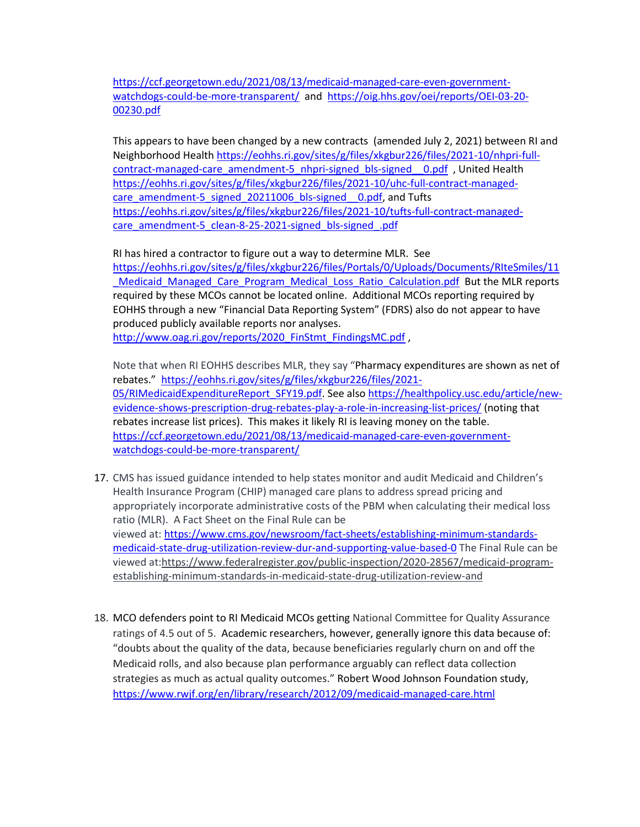[https://ccf.georgetown.edu/2021/08/13/medicaid-managed-care-even-government](https://ccf.georgetown.edu/2021/08/13/medicaid-managed-care-even-government-watchdogs-could-be-more-transparent/)[watchdogs-could-be-more-transparent/](https://ccf.georgetown.edu/2021/08/13/medicaid-managed-care-even-government-watchdogs-could-be-more-transparent/) and [https://oig.hhs.gov/oei/reports/OEI-03-20-](https://oig.hhs.gov/oei/reports/OEI-03-20-00230.pdf) [00230.pdf](https://oig.hhs.gov/oei/reports/OEI-03-20-00230.pdf)

This appears to have been changed by a new contracts (amended July 2, 2021) between RI and Neighborhood Health [https://eohhs.ri.gov/sites/g/files/xkgbur226/files/2021-10/nhpri-full](https://eohhs.ri.gov/sites/g/files/xkgbur226/files/2021-10/nhpri-full-contract-managed-care_amendment-5_nhpri-signed_bls-signed__0.pdf)[contract-managed-care\\_amendment-5\\_nhpri-signed\\_bls-signed\\_\\_0.pdf](https://eohhs.ri.gov/sites/g/files/xkgbur226/files/2021-10/nhpri-full-contract-managed-care_amendment-5_nhpri-signed_bls-signed__0.pdf) , United Health [https://eohhs.ri.gov/sites/g/files/xkgbur226/files/2021-10/uhc-full-contract-managed](https://eohhs.ri.gov/sites/g/files/xkgbur226/files/2021-10/uhc-full-contract-managed-care_amendment-5_signed_20211006_bls-signed__0.pdf)care\_amendment-5\_signed\_20211006\_bls-signed \_0.pdf, and Tufts [https://eohhs.ri.gov/sites/g/files/xkgbur226/files/2021-10/tufts-full-contract-managed](https://eohhs.ri.gov/sites/g/files/xkgbur226/files/2021-10/tufts-full-contract-managed-care_amendment-5_clean-8-25-2021-signed_bls-signed_.pdf)[care\\_amendment-5\\_clean-8-25-2021-signed\\_bls-signed\\_.pdf](https://eohhs.ri.gov/sites/g/files/xkgbur226/files/2021-10/tufts-full-contract-managed-care_amendment-5_clean-8-25-2021-signed_bls-signed_.pdf)

RI has hired a contractor to figure out a way to determine MLR. See [https://eohhs.ri.gov/sites/g/files/xkgbur226/files/Portals/0/Uploads/Documents/RIteSmiles/11](https://eohhs.ri.gov/sites/g/files/xkgbur226/files/Portals/0/Uploads/Documents/RIteSmiles/11_Medicaid_Managed_Care_Program_Medical_Loss_Ratio_Calculation.pdf) [\\_Medicaid\\_Managed\\_Care\\_Program\\_Medical\\_Loss\\_Ratio\\_Calculation.pdf](https://eohhs.ri.gov/sites/g/files/xkgbur226/files/Portals/0/Uploads/Documents/RIteSmiles/11_Medicaid_Managed_Care_Program_Medical_Loss_Ratio_Calculation.pdf) But the MLR reports required by these MCOs cannot be located online. Additional MCOs reporting required by EOHHS through a new "Financial Data Reporting System" (FDRS) also do not appear to have produced publicly available reports nor analyses.

[http://www.oag.ri.gov/reports/2020\\_FinStmt\\_FindingsMC.pdf](http://www.oag.ri.gov/reports/2020_FinStmt_FindingsMC.pdf),

Note that when RI EOHHS describes MLR, they say "Pharmacy expenditures are shown as net of rebates." [https://eohhs.ri.gov/sites/g/files/xkgbur226/files/2021-](https://eohhs.ri.gov/sites/g/files/xkgbur226/files/2021-05/RIMedicaidExpenditureReport_SFY19.pdf) [05/RIMedicaidExpenditureReport\\_SFY19.pdf.](https://eohhs.ri.gov/sites/g/files/xkgbur226/files/2021-05/RIMedicaidExpenditureReport_SFY19.pdf) See also [https://healthpolicy.usc.edu/article/new](https://healthpolicy.usc.edu/article/new-evidence-shows-prescription-drug-rebates-play-a-role-in-increasing-list-prices/)[evidence-shows-prescription-drug-rebates-play-a-role-in-increasing-list-prices/](https://healthpolicy.usc.edu/article/new-evidence-shows-prescription-drug-rebates-play-a-role-in-increasing-list-prices/) (noting that rebates increase list prices). This makes it likely RI is leaving money on the table. [https://ccf.georgetown.edu/2021/08/13/medicaid-managed-care-even-government](https://ccf.georgetown.edu/2021/08/13/medicaid-managed-care-even-government-watchdogs-could-be-more-transparent/)[watchdogs-could-be-more-transparent/](https://ccf.georgetown.edu/2021/08/13/medicaid-managed-care-even-government-watchdogs-could-be-more-transparent/)

- 17. CMS has issued guidance intended to help states monitor and audit Medicaid and Children's Health Insurance Program (CHIP) managed care plans to address spread pricing and appropriately incorporate administrative costs of the PBM when calculating their medical loss ratio (MLR). A Fact Sheet on the Final Rule can be viewed at: [https://www.cms.gov/newsroom/fact-sheets/establishing-minimum-standards](https://www.cms.gov/newsroom/fact-sheets/establishing-minimum-standards-medicaid-state-drug-utilization-review-dur-and-supporting-value-based-0)[medicaid-state-drug-utilization-review-dur-and-supporting-value-based-0](https://www.cms.gov/newsroom/fact-sheets/establishing-minimum-standards-medicaid-state-drug-utilization-review-dur-and-supporting-value-based-0) The Final Rule can be viewed at[:https://www.federalregister.gov/public-inspection/2020-28567/medicaid-program](https://www.federalregister.gov/public-inspection/2020-28567/medicaid-program-establishing-minimum-standards-in-medicaid-state-drug-utilization-review-and)[establishing-minimum-standards-in-medicaid-state-drug-utilization-review-and](https://www.federalregister.gov/public-inspection/2020-28567/medicaid-program-establishing-minimum-standards-in-medicaid-state-drug-utilization-review-and)
- 18. MCO defenders point to RI Medicaid MCOs getting National Committee for Quality Assurance ratings of 4.5 out of 5. Academic researchers, however, generally ignore this data because of: "doubts about the quality of the data, because beneficiaries regularly churn on and off the Medicaid rolls, and also because plan performance arguably can reflect data collection strategies as much as actual quality outcomes." Robert Wood Johnson Foundation study, <https://www.rwjf.org/en/library/research/2012/09/medicaid-managed-care.html>